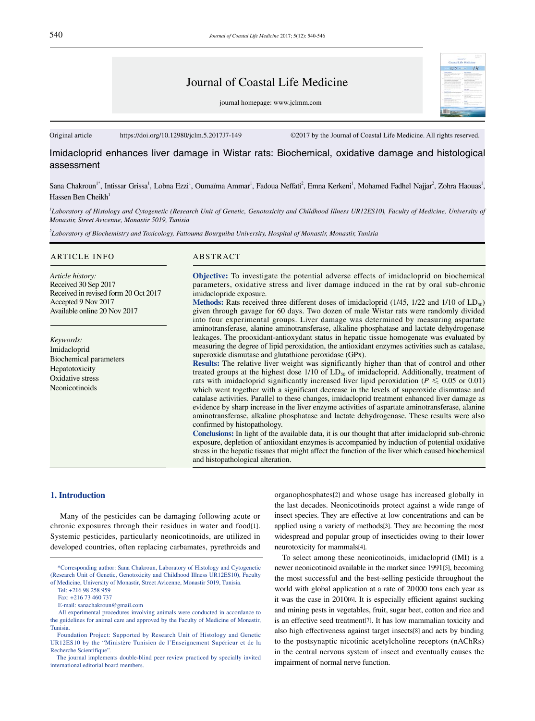# Journal of Coastal Life Medicine

journal homepage: www.jclmm.com

Original article https://doi.org/10.12980/jclm.5.2017J7-149 ©2017 by the Journal of Coastal Life Medicine. All rights reserved.

Imidacloprid enhances liver damage in Wistar rats: Biochemical, oxidative damage and histological assessment

Sana Chakroun<sup>1\*</sup>, Intissar Grissa<sup>1</sup>, Lobna Ezzi<sup>1</sup>, Oumaïma Ammar<sup>1</sup>, Fadoua Neffati<sup>2</sup>, Emna Kerkeni<sup>1</sup>, Mohamed Fadhel Najjar<sup>2</sup>, Zohra Haouas<sup>1</sup>, Hassen Ben Cheikh<sup>1</sup>

<sup>*I*</sup> Laboratory of Histology and Cytogenetic (Research Unit of Genetic, Genotoxicity and Childhood Illness UR12ES10), Faculty of Medicine, University of *Monastir, Street Avicenne, Monastir 5019, Tunisia*

*2 Laboratory of Biochemistry and Toxicology, Fattouma Bourguiba University, Hospital of Monastir, Monastir, Tunisia*

#### ARTICLE INFO ABSTRACT

*Article history:* Received 30 Sep 2017 Received in revised form 20 Oct 2017 Accepted 9 Nov 2017 Available online 20 Nov 2017

*Keywords:* Imidacloprid Biochemical parameters Hepatotoxicity Oxidative stress Neonicotinoids

**Objective:** To investigate the potential adverse effects of imidacloprid on biochemical parameters, oxidative stress and liver damage induced in the rat by oral sub-chronic imidaclopride exposure.

**Methods:** Rats received three different doses of imidacloprid ( $1/45$ ,  $1/22$  and  $1/10$  of  $LD_{50}$ ) given through gavage for 60 days. Two dozen of male Wistar rats were randomly divided into four experimental groups. Liver damage was determined by measuring aspartate aminotransferase, alanine aminotransferase, alkaline phosphatase and lactate dehydrogenase leakages. The prooxidant-antioxydant status in hepatic tissue homogenate was evaluated by measuring the degree of lipid peroxidation, the antioxidant enzymes activities such as catalase, superoxide dismutase and glutathione peroxidase (GPx).

**Results:** The relative liver weight was significantly higher than that of control and other treated groups at the highest dose  $1/10$  of  $LD_{50}$  of imidacloprid. Additionally, treatment of rats with imidacloprid significantly increased liver lipid peroxidation ( $P \le 0.05$  or 0.01) which went together with a significant decrease in the levels of superoxide dismutase and catalase activities. Parallel to these changes, imidacloprid treatment enhanced liver damage as evidence by sharp increase in the liver enzyme activities of aspartate aminotransferase, alanine aminotransferase, alkaline phosphatase and lactate dehydrogenase. These results were also confirmed by histopathology.

**Conclusions:** In light of the available data, it is our thought that after imidacloprid sub-chronic exposure, depletion of antioxidant enzymes is accompanied by induction of potential oxidative stress in the hepatic tissues that might affect the function of the liver which caused biochemical and histopathological alteration.

## **1. Introduction**

 Many of the pesticides can be damaging following acute or chronic exposures through their residues in water and food[1]. Systemic pesticides, particularly neonicotinoids, are utilized in developed countries, often replacing carbamates, pyrethroids and

Tel: +216 98 258 959

organophosphates[2] and whose usage has increased globally in the last decades. Neonicotinoids protect against a wide range of insect species. They are effective at low concentrations and can be applied using a variety of methods[3]. They are becoming the most widespread and popular group of insecticides owing to their lower neurotoxicity for mammals[4].

 To select among these neonicotinoids, imidacloprid (IMI) is a newer neonicotinoid available in the market since 1991[5], becoming the most successful and the best-selling pesticide throughout the world with global application at a rate of 20000 tons each year as it was the case in 2010[6]. It is especially efficient against sucking and mining pests in vegetables, fruit, sugar beet, cotton and rice and is an effective seed treatment[7]. It has low mammalian toxicity and also high effectiveness against target insects[8] and acts by binding to the postsynaptic nicotinic acetylcholine receptors (nAChRs) in the central nervous system of insect and eventually causes the impairment of normal nerve function.

 <sup>\*</sup>Corresponding author: Sana Chakroun, Laboratory of Histology and Cytogenetic (Research Unit of Genetic, Genotoxicity and Childhood Illness UR12ES10), Faculty of Medicine, University of Monastir, Street Avicenne, Monastir 5019, Tunisia.

Fax: +216 73 460 737

E-mail: sanachakroun@gmail.com

All experimental procedures involving animals were conducted in accordance to the guidelines for animal care and approved by the Faculty of Medicine of Monastir, Tunisia.

Foundation Project: Supported by Research Unit of Histology and Genetic UR12ES10 by the "Ministère Tunisien de l'Enseignement Supérieur et de la Recherche Scientifique".

The journal implements double-blind peer review practiced by specially invited international editorial board members.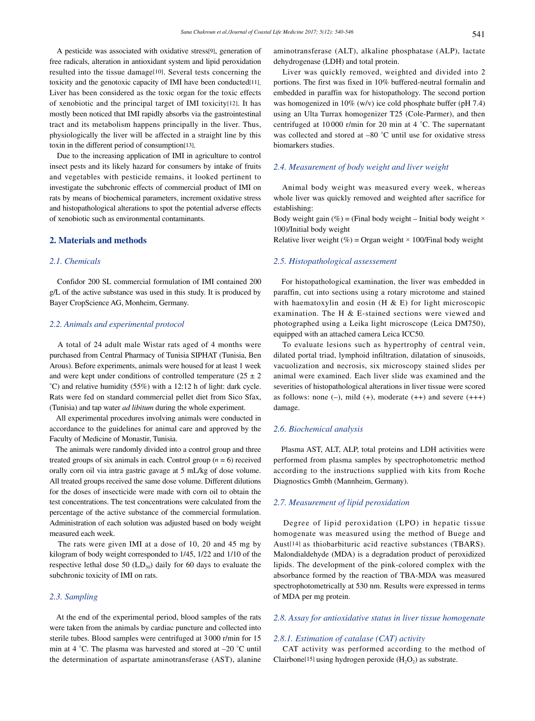A pesticide was associated with oxidative stress[9], generation of free radicals, alteration in antioxidant system and lipid peroxidation resulted into the tissue damage[10]. Several tests concerning the toxicity and the genotoxic capacity of IMI have been conducted[11]. Liver has been considered as the toxic organ for the toxic effects of xenobiotic and the principal target of IMI toxicity[12]. It has mostly been noticed that IMI rapidly absorbs via the gastrointestinal tract and its metabolism happens principally in the liver. Thus, physiologically the liver will be affected in a straight line by this toxin in the different period of consumption[13].

 Due to the increasing application of IMI in agriculture to control insect pests and its likely hazard for consumers by intake of fruits and vegetables with pesticide remains, it looked pertinent to investigate the subchronic effects of commercial product of IMI on rats by means of biochemical parameters, increment oxidative stress and histopathological alterations to spot the potential adverse effects of xenobiotic such as environmental contaminants.

## **2. Materials and methods**

#### *2.1. Chemicals*

 Confidor 200 SL commercial formulation of IMI contained 200 g/L of the active substance was used in this study. It is produced by Bayer CropScience AG, Monheim, Germany.

## *2.2. Animals and experimental protocol*

 A total of 24 adult male Wistar rats aged of 4 months were purchased from Central Pharmacy of Tunisia SIPHAT (Tunisia, Ben Arous). Before experiments, animals were housed for at least 1 week and were kept under conditions of controlled temperature  $(25 \pm 2)$ °C) and relative humidity (55%) with a 12:12 h of light: dark cycle. Rats were fed on standard commercial pellet diet from Sico Sfax, (Tunisia) and tap water *ad libitum* during the whole experiment.

 All experimental procedures involving animals were conducted in accordance to the guidelines for animal care and approved by the Faculty of Medicine of Monastir, Tunisia.

 The animals were randomly divided into a control group and three treated groups of six animals in each. Control group  $(n = 6)$  received orally corn oil via intra gastric gavage at 5 mL/kg of dose volume. All treated groups received the same dose volume. Different dilutions for the doses of insecticide were made with corn oil to obtain the test concentrations. The test concentrations were calculated from the percentage of the active substance of the commercial formulation. Administration of each solution was adjusted based on body weight measured each week.

 The rats were given IMI at a dose of 10, 20 and 45 mg by kilogram of body weight corresponded to 1/45, 1/22 and 1/10 of the respective lethal dose 50  $(LD_{50})$  daily for 60 days to evaluate the subchronic toxicity of IMI on rats.

#### *2.3. Sampling*

 At the end of the experimental period, blood samples of the rats were taken from the animals by cardiac puncture and collected into sterile tubes. Blood samples were centrifuged at 3 000 r/min for 15 min at 4 °C. The plasma was harvested and stored at –20 °C until the determination of aspartate aminotransferase (AST), alanine aminotransferase (ALT), alkaline phosphatase (ALP), lactate dehydrogenase (LDH) and total protein.

 Liver was quickly removed, weighted and divided into 2 portions. The first was fixed in 10% buffered-neutral formalin and embedded in paraffin wax for histopathology. The second portion was homogenized in 10% (w/v) ice cold phosphate buffer (pH 7.4) using an Ulta Turrax homogenizer T25 (Cole-Parmer), and then centrifuged at 10 000 r/min for 20 min at 4 °C. The supernatant was collected and stored at –80 °C until use for oxidative stress biomarkers studies.

## *2.4. Measurement of body weight and liver weight*

 Animal body weight was measured every week, whereas whole liver was quickly removed and weighted after sacrifice for establishing:

Body weight gain (%) = (Final body weight – Initial body weight  $\times$ 100)/Initial body weight

Relative liver weight (%) = Organ weight  $\times$  100/Final body weight

#### *2.5. Histopathological assessement*

 For histopathological examination, the liver was embedded in paraffin, cut into sections using a rotary microtome and stained with haematoxylin and eosin (H & E) for light microscopic examination. The H & E-stained sections were viewed and photographed using a Leika light microscope (Leica DM750), equipped with an attached camera Leica ICC50.

 To evaluate lesions such as hypertrophy of central vein, dilated portal triad, lymphoid infiltration, dilatation of sinusoids, vacuolization and necrosis, six microscopy stained slides per animal were examined. Each liver slide was examined and the severities of histopathological alterations in liver tissue were scored as follows: none  $(-)$ , mild  $(+)$ , moderate  $(++)$  and severe  $(+++)$ damage.

#### *2.6. Biochemical analysis*

 Plasma AST, ALT, ALP, total proteins and LDH activities were performed from plasma samples by spectrophotometric method according to the instructions supplied with kits from Roche Diagnostics Gmbh (Mannheim, Germany).

## *2.7. Measurement of lipid peroxidation*

 Degree of lipid peroxidation (LPO) in hepatic tissue homogenate was measured using the method of Buege and Aust[14] as thiobarbituric acid reactive substances (TBARS). Malondialdehyde (MDA) is a degradation product of peroxidized lipids. The development of the pink-colored complex with the absorbance formed by the reaction of TBA-MDA was measured spectrophotometrically at 530 nm. Results were expressed in terms of MDA per mg protein.

## *2.8. Assay for antioxidative status in liver tissue homogenate*

#### *2.8.1. Estimation of catalase (CAT) activity*

 CAT activity was performed according to the method of Clairbone<sup>[15]</sup> using hydrogen peroxide  $(H_2O_2)$  as substrate.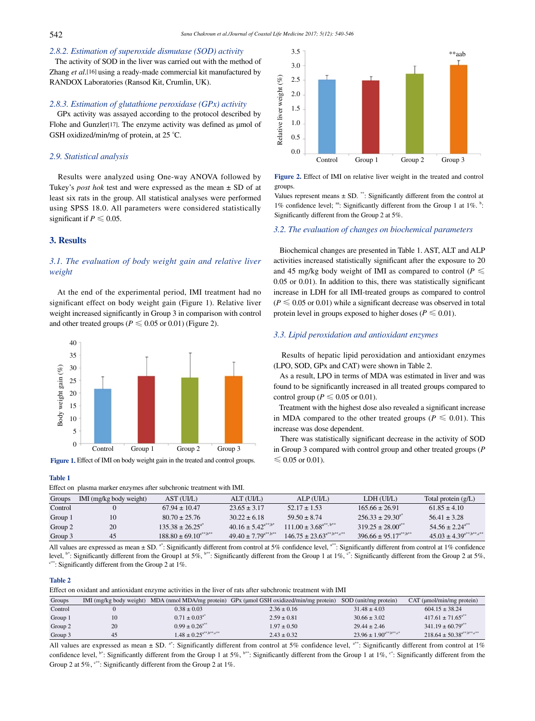# *2.8.2. Estimation of superoxide dismutase (SOD) activity*

 The activity of SOD in the liver was carried out with the method of Zhang *et al*.[16] using a ready-made commercial kit manufactured by RANDOX Laboratories (Ransod Kit, Crumlin, UK).

#### *2.8.3. Estimation of glutathione peroxidase (GPx) activity*

 GPx activity was assayed according to the protocol described by Flohe and Gunzler<sup>[17]</sup>. The enzyme activity was defined as µmol of GSH oxidized/min/mg of protein, at 25 °C.

## *2.9. Statistical analysis*

 Results were analyzed using One-way ANOVA followed by Tukey's *post hok* test and were expressed as the mean ± SD of at least six rats in the group. All statistical analyses were performed using SPSS 18.0. All parameters were considered statistically significant if  $P \leq 0.05$ .

## **3. Results**

## *3.1. The evaluation of body weight gain and relative liver weight*

 At the end of the experimental period, IMI treatment had no significant effect on body weight gain (Figure 1). Relative liver weight increased significantly in Group 3 in comparison with control and other treated groups ( $P \le 0.05$  or 0.01) (Figure 2).



**Figure 1.** Effect of IMI on body weight gain in the treated and control groups.

#### **Table 1**

Effect on plasma marker enzymes after subchronic treatment with IMI.



**Figure 2.** Effect of IMI on relative liver weight in the treated and control groups.

Values represent means  $\pm$  SD. \*\*: Significantly different from the control at 1% confidence level; <sup>aa</sup>: Significantly different from the Group 1 at 1%.  $b$ : Significantly different from the Group 2 at 5%.

#### *3.2. The evaluation of changes on biochemical parameters*

 Biochemical changes are presented in Table 1. AST, ALT and ALP activities increased statistically significant after the exposure to 20 and 45 mg/kg body weight of IMI as compared to control ( $P \leq$ 0.05 or 0.01). In addition to this, there was statistically significant increase in LDH for all IMI-treated groups as compared to control  $(P \leq 0.05$  or 0.01) while a significant decrease was observed in total protein level in groups exposed to higher doses ( $P \le 0.01$ ).

## *3.3. Lipid peroxidation and antioxidant enzymes*

 Results of hepatic lipid peroxidation and antioxidant enzymes (LPO, SOD, GPx and CAT) were shown in Table 2.

 As a result, LPO in terms of MDA was estimated in liver and was found to be significantly increased in all treated groups compared to control group ( $P \le 0.05$  or 0.01).

 Treatment with the highest dose also revealed a significant increase in MDA compared to the other treated groups ( $P \le 0.01$ ). This increase was dose dependent.

 There was statistically significant decrease in the activity of SOD in Group 3 compared with control group and other treated groups (*P*   $\leq 0.05$  or 0.01).

| Effect on plasma market enzymes and subcinome treatment with hvir. |                         |                                                  |                              |                                                                |                               |                                  |  |  |  |
|--------------------------------------------------------------------|-------------------------|--------------------------------------------------|------------------------------|----------------------------------------------------------------|-------------------------------|----------------------------------|--|--|--|
| Groups                                                             | IMI (mg/kg body weight) | AST (UI/L)                                       | ALT (UI/L)                   | ALP (UI/L)                                                     | LDH (UI/L)                    | Total protein $(g/L)$            |  |  |  |
| Control                                                            |                         | $67.94 \pm 10.47$                                | $23.65 \pm 3.17$             | $52.17 \pm 1.53$                                               | $165.66 \pm 26.91$            | $61.85 \pm 4.10$                 |  |  |  |
| Group 1                                                            |                         | $80.70 \pm 25.76$                                | $30.22 \pm 6.18$             | $59.50 \pm 8.74$                                               | $256.33 \pm 29.30^{a*}$       | $56.41 \pm 3.28$                 |  |  |  |
| Group 2                                                            | 20                      | $135.38 \pm 26.25^{a*}$                          | $40.16 \pm 5.42^{a**, b*}$   | $111.00 \pm 3.68^{a**, b**}$                                   | $319.25 \pm 28.00^{4}$        | 54 56 + 2.24 <sup>a**</sup>      |  |  |  |
| Group 3                                                            | 45                      | $188.80 \pm 69.10^{\text{a}^{**},\text{b}^{**}}$ | $49.40 \pm 7.79^{a***,b***}$ | $146.75 \pm 23.63^{\text{a}^{**},\text{b}^{**},\text{c}^{**}}$ | $396.66 \pm 95.17^{a**, b**}$ | $45.03 \pm 4.39^{a**, b**, c**}$ |  |  |  |

All values are expressed as mean  $\pm$  SD.<sup>a\*</sup>: Significantly different from control at 5% confidence level,  $a^{**}$ : Significantly different from control at 1% confidence level,  $b^*$ : Significantly different from the Group1 at 5%,  $b^{**}$ : Significantly different from the Group 1 at 1%,  $c^*$ : Significantly different from the Group 2 at 5%,  $c^{**}$ : Significantly different from the Group 2

### **Table 2**

Effect on oxidant and antioxidant enzyme activities in the liver of rats after subchronic treatment with IMI

| Groups  | IMI (mg/kg body weight) |                                                             | MDA (nmol MDA/mg protein) GPx (umol GSH oxidized/min/mg protein) | SOD (unit/mg protein)                                     | $CAT$ (umol/min/mg protein)                |
|---------|-------------------------|-------------------------------------------------------------|------------------------------------------------------------------|-----------------------------------------------------------|--------------------------------------------|
| Control |                         | $0.38 \pm 0.03$                                             | $2.36 \pm 0.16$                                                  | $31.48 \pm 4.03$                                          | $604.15 \pm 38.24$                         |
| Group 1 | 10                      | $0.71 \pm 0.03^{4*}$                                        | $2.59 \pm 0.81$                                                  | $30.66 \pm 3.02$                                          | $417.61 \pm 71.65$ <sup>a**</sup>          |
| Group 2 | 20                      | $0.99 \pm 0.26$ <sup>a**</sup>                              | $1.97 \pm 0.50$                                                  | $29.44 \pm 2.46$                                          | $341.19 \pm 60.79$ <sup>a**</sup>          |
| Group 3 | 45                      | $1.48 \pm 0.25^{\text{a}^{**},\text{b}^{**},\text{c}^{**}}$ | $2.43 \pm 0.32$                                                  | $23.96 \pm 1.90^{\text{a}^{**},\text{b}^{**},\text{c}^*}$ | $218.64 \pm 50.38$ <sup>a**,b**</sup> ,c** |

All values are expressed as mean  $\pm$  SD. <sup>a\*</sup>: Significantly different from control at 5% confidence level, <sup>a\*\*</sup>: Significantly different from control at 1% confidence level,  $b^*$ : Significantly different from the Group 1 at 5%,  $b^{**}$ : Significantly different from the Group 1 at 1%,  $c^*$ : Significantly different from the Group 2 at 5%,  $c^{**}$ : Significantly different from the Group 2 at 1%.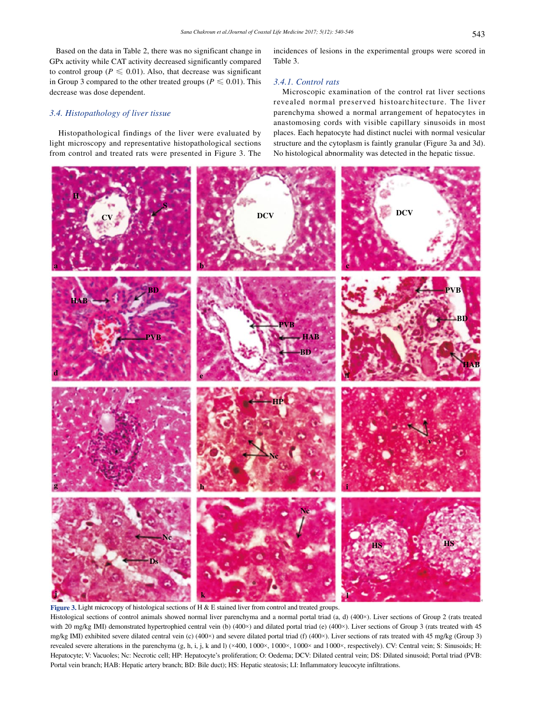Based on the data in Table 2, there was no significant change in GPx activity while CAT activity decreased significantly compared to control group ( $P \le 0.01$ ). Also, that decrease was significant in Group 3 compared to the other treated groups ( $P \le 0.01$ ). This decrease was dose dependent.

## *3.4. Histopathology of liver tissue*

 Histopathological findings of the liver were evaluated by light microscopy and representative histopathological sections from control and treated rats were presented in Figure 3. The incidences of lesions in the experimental groups were scored in Table 3.

### *3.4.1. Control rats*

 Microscopic examination of the control rat liver sections revealed normal preserved histoarchitecture. The liver parenchyma showed a normal arrangement of hepatocytes in anastomosing cords with visible capillary sinusoids in most places. Each hepatocyte had distinct nuclei with normal vesicular structure and the cytoplasm is faintly granular (Figure 3a and 3d). No histological abnormality was detected in the hepatic tissue.



Histological sections of control animals showed normal liver parenchyma and a normal portal triad (a, d) (400×). Liver sections of Group 2 (rats treated with 20 mg/kg IMI) demonstrated hypertrophied central vein (b) (400×) and dilated portal triad (e) (400×). Liver sections of Group 3 (rats treated with 45 mg/kg IMI) exhibited severe dilated central vein (c) (400×) and severe dilated portal triad (f) (400×). Liver sections of rats treated with 45 mg/kg (Group 3) revealed severe alterations in the parenchyma (g, h, i, j, k and l) (×400, 1000×, 1000×, 1000× and 1000×, respectively). CV: Central vein; S: Sinusoids; H: Hepatocyte; V: Vacuoles; Nc: Necrotic cell; HP: Hepatocyte's proliferation; O: Oedema; DCV: Dilated central vein; DS: Dilated sinusoid; Portal triad (PVB: Portal vein branch; HAB: Hepatic artery branch; BD: Bile duct); HS: Hepatic steatosis; LI: Inflammatory leucocyte infiltrations.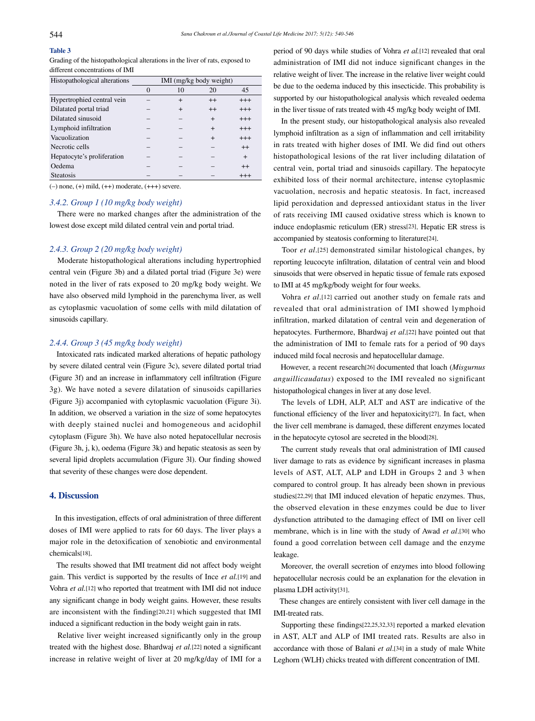# **Table 3**

Grading of the histopathological alterations in the liver of rats, exposed to different concentrations of IMI

| Histopathological alterations | IMI (mg/kg body weight) |           |           |          |  |
|-------------------------------|-------------------------|-----------|-----------|----------|--|
|                               |                         | 10        | 20        | 45       |  |
| Hypertrophied central vein    |                         | $^{+}$    | $^{++}$   | $^{+++}$ |  |
| Dilatated portal triad        |                         | $\ddot{}$ | $^{++}$   | $^{+++}$ |  |
| Dilatated sinusoid            |                         |           | $\ddot{}$ | $^{+++}$ |  |
| Lymphoid infiltration         |                         |           | $\ddot{}$ | $^{+++}$ |  |
| Vacuolization                 |                         |           | $\ddot{}$ | $^{+++}$ |  |
| Necrotic cells                |                         |           |           | $^{++}$  |  |
| Hepatocyte's proliferation    |                         |           |           | $+$      |  |
| Oedema                        |                         |           |           | $^{++}$  |  |
| <b>Steatosis</b>              |                         |           |           | $^{+++}$ |  |

 $(-)$  none,  $(+)$  mild,  $(+)$  moderate,  $(++)$  severe.

#### *3.4.2. Group 1 (10 mg/kg body weight)*

 There were no marked changes after the administration of the lowest dose except mild dilated central vein and portal triad.

## *2.4.3. Group 2 (20 mg/kg body weight)*

 Moderate histopathological alterations including hypertrophied central vein (Figure 3b) and a dilated portal triad (Figure 3e) were noted in the liver of rats exposed to 20 mg/kg body weight. We have also observed mild lymphoid in the parenchyma liver, as well as cytoplasmic vacuolation of some cells with mild dilatation of sinusoids capillary.

## *2.4.4. Group 3 (45 mg/kg body weight)*

 Intoxicated rats indicated marked alterations of hepatic pathology by severe dilated central vein (Figure 3c), severe dilated portal triad (Figure 3f) and an increase in inflammatory cell infiltration (Figure 3g). We have noted a severe dilatation of sinusoids capillaries (Figure 3j) accompanied with cytoplasmic vacuolation (Figure 3i). In addition, we observed a variation in the size of some hepatocytes with deeply stained nuclei and homogeneous and acidophil cytoplasm (Figure 3h). We have also noted hepatocellular necrosis (Figure 3h, j, k), oedema (Figure 3k) and hepatic steatosis as seen by several lipid droplets accumulation (Figure 3l). Our finding showed that severity of these changes were dose dependent.

## **4. Discussion**

 In this investigation, effects of oral administration of three different doses of IMI were applied to rats for 60 days. The liver plays a major role in the detoxification of xenobiotic and environmental chemicals[18].

 The results showed that IMI treatment did not affect body weight gain. This verdict is supported by the results of Ince *et al.*[19] and Vohra *et al.*[12] who reported that treatment with IMI did not induce any significant change in body weight gains. However, these results are inconsistent with the finding[20,21] which suggested that IMI induced a significant reduction in the body weight gain in rats.

 Relative liver weight increased significantly only in the group treated with the highest dose. Bhardwaj *et al.*[22] noted a significant increase in relative weight of liver at 20 mg/kg/day of IMI for a period of 90 days while studies of Vohra *et al.*[12] revealed that oral administration of IMI did not induce significant changes in the relative weight of liver. The increase in the relative liver weight could be due to the oedema induced by this insecticide. This probability is supported by our histopathological analysis which revealed oedema in the liver tissue of rats treated with 45 mg/kg body weight of IMI.

 In the present study, our histopathological analysis also revealed lymphoid infiltration as a sign of inflammation and cell irritability in rats treated with higher doses of IMI. We did find out others histopathological lesions of the rat liver including dilatation of central vein, portal triad and sinusoids capillary. The hepatocyte exhibited loss of their normal architecture, intense cytoplasmic vacuolation, necrosis and hepatic steatosis. In fact, increased lipid peroxidation and depressed antioxidant status in the liver of rats receiving IMI caused oxidative stress which is known to induce endoplasmic reticulum (ER) stress[23]. Hepatic ER stress is accompanied by steatosis conforming to literature[24].

 Toor *et al*.[25] demonstrated similar histological changes, by reporting leucocyte infiltration, dilatation of central vein and blood sinusoids that were observed in hepatic tissue of female rats exposed to IMI at 45 mg/kg/body weight for four weeks.

 Vohra *et al*.[12] carried out another study on female rats and revealed that oral administration of IMI showed lymphoid infiltration, marked dilatation of central vein and degeneration of hepatocytes. Furthermore, Bhardwaj *et al*.[22] have pointed out that the administration of IMI to female rats for a period of 90 days induced mild focal necrosis and hepatocellular damage.

 However, a recent research[26] documented that loach (*Misgurnus anguillicaudatus*) exposed to the IMI revealed no significant histopathological changes in liver at any dose level.

 The levels of LDH, ALP, ALT and AST are indicative of the functional efficiency of the liver and hepatoxicity[27]. In fact, when the liver cell membrane is damaged, these different enzymes located in the hepatocyte cytosol are secreted in the blood[28].

 The current study reveals that oral administration of IMI caused liver damage to rats as evidence by significant increases in plasma levels of AST, ALT, ALP and LDH in Groups 2 and 3 when compared to control group. It has already been shown in previous studies[22,29] that IMI induced elevation of hepatic enzymes. Thus, the observed elevation in these enzymes could be due to liver dysfunction attributed to the damaging effect of IMI on liver cell membrane, which is in line with the study of Awad *et al*.[30] who found a good correlation between cell damage and the enzyme leakage.

 Moreover, the overall secretion of enzymes into blood following hepatocellular necrosis could be an explanation for the elevation in plasma LDH activity[31].

 These changes are entirely consistent with liver cell damage in the IMI-treated rats.

 Supporting these findings[22,25,32,33] reported a marked elevation in AST, ALT and ALP of IMI treated rats. Results are also in accordance with those of Balani *et al*.[34] in a study of male White Leghorn (WLH) chicks treated with different concentration of IMI.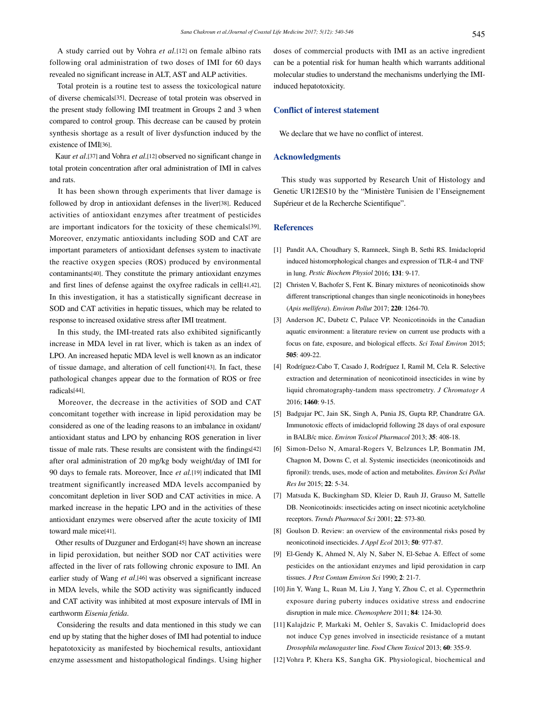A study carried out by Vohra *et al.*[12] on female albino rats following oral administration of two doses of IMI for 60 days revealed no significant increase in ALT, AST and ALP activities.

 Total protein is a routine test to assess the toxicological nature of diverse chemicals[35]. Decrease of total protein was observed in the present study following IMI treatment in Groups 2 and 3 when compared to control group. This decrease can be caused by protein synthesis shortage as a result of liver dysfunction induced by the existence of IMI[36].

 Kaur *et al*.[37] and Vohra *et al*.[12] observed no significant change in total protein concentration after oral administration of IMI in calves and rats.

 It has been shown through experiments that liver damage is followed by drop in antioxidant defenses in the liver[38]. Reduced activities of antioxidant enzymes after treatment of pesticides are important indicators for the toxicity of these chemicals[39]. Moreover, enzymatic antioxidants including SOD and CAT are important parameters of antioxidant defenses system to inactivate the reactive oxygen species (ROS) produced by environmental contaminants[40]. They constitute the primary antioxidant enzymes and first lines of defense against the oxyfree radicals in cell[41,42]. In this investigation, it has a statistically significant decrease in SOD and CAT activities in hepatic tissues, which may be related to response to increased oxidative stress after IMI treatment.

 In this study, the IMI-treated rats also exhibited significantly increase in MDA level in rat liver, which is taken as an index of LPO. An increased hepatic MDA level is well known as an indicator of tissue damage, and alteration of cell function[43]. In fact, these pathological changes appear due to the formation of ROS or free radicals[44].

 Moreover, the decrease in the activities of SOD and CAT concomitant together with increase in lipid peroxidation may be considered as one of the leading reasons to an imbalance in oxidant/ antioxidant status and LPO by enhancing ROS generation in liver tissue of male rats. These results are consistent with the findings[42] after oral administration of 20 mg/kg body weight/day of IMI for 90 days to female rats. Moreover, Ince *et al.*[19] indicated that IMI treatment significantly increased MDA levels accompanied by concomitant depletion in liver SOD and CAT activities in mice. A marked increase in the hepatic LPO and in the activities of these antioxidant enzymes were observed after the acute toxicity of IMI toward male mice[41].

 Other results of Duzguner and Erdogan[45] have shown an increase in lipid peroxidation, but neither SOD nor CAT activities were affected in the liver of rats following chronic exposure to IMI. An earlier study of Wang *et al*.[46] was observed a significant increase in MDA levels, while the SOD activity was significantly induced and CAT activity was inhibited at most exposure intervals of IMI in earthworm *Eisenia fetida*.

 Considering the results and data mentioned in this study we can end up by stating that the higher doses of IMI had potential to induce hepatotoxicity as manifested by biochemical results, antioxidant enzyme assessment and histopathological findings. Using higher doses of commercial products with IMI as an active ingredient can be a potential risk for human health which warrants additional molecular studies to understand the mechanisms underlying the IMIinduced hepatotoxicity.

## **Conflict of interest statement**

We declare that we have no conflict of interest.

### **Acknowledgments**

 This study was supported by Research Unit of Histology and Genetic UR12ES10 by the "Ministère Tunisien de l'Enseignement Supérieur et de la Recherche Scientifique".

#### **References**

- [1] Pandit AA, Choudhary S, Ramneek, Singh B, Sethi RS. Imidacloprid induced histomorphological changes and expression of TLR-4 and TNF in lung. *Pestic Biochem Physiol* 2016; **131**: 9-17.
- [2] Christen V, Bachofer S, Fent K. Binary mixtures of neonicotinoids show different transcriptional changes than single neonicotinoids in honeybees (*Apis mellifera*). *Environ Pollut* 2017; **220**: 1264-70.
- [3] Anderson JC, Dubetz C, Palace VP. Neonicotinoids in the Canadian aquatic environment: a literature review on current use products with a focus on fate, exposure, and biological effects. *Sci Total Environ* 2015; **505**: 409-22.
- [4] Rodríguez-Cabo T, Casado J, Rodríguez I, Ramil M, Cela R. Selective extraction and determination of neonicotinoid insecticides in wine by liquid chromatography-tandem mass spectrometry. *J Chromatogr A*  2016; **1460**: 9-15.
- [5] Badgujar PC, Jain SK, Singh A, Punia JS, Gupta RP, Chandratre GA. Immunotoxic effects of imidacloprid following 28 days of oral exposure in BALB/c mice. *Environ Toxicol Pharmacol* 2013; **35**: 408-18.
- [6] Simon-Delso N, Amaral-Rogers V, Belzunces LP, Bonmatin JM, Chagnon M, Downs C, et al. Systemic insecticides (neonicotinoids and fipronil): trends, uses, mode of action and metabolites. *Environ Sci Pollut Res Int* 2015; **22**: 5-34.
- [7] Matsuda K, Buckingham SD, Kleier D, Rauh JJ, Grauso M, Sattelle DB. Neonicotinoids: insecticides acting on insect nicotinic acetylcholine receptors. *Trends Pharmacol Sci* 2001; **22**: 573-80.
- [8] Goulson D. Review: an overview of the environmental risks posed by neonicotinoid insecticides. *J Appl Ecol* 2013; **50**: 977-87.
- [9] El-Gendy K, Ahmed N, Aly N, Saber N, El-Sebae A. Effect of some pesticides on the antioxidant enzymes and lipid peroxidation in carp tissues. *J Pest Contam Environ Sci* 1990; **2**: 21-7.
- [10] Jin Y, Wang L, Ruan M, Liu J, Yang Y, Zhou C, et al. Cypermethrin exposure during puberty induces oxidative stress and endocrine disruption in male mice. *Chemosphere* 2011; **84**: 124-30.
- [11] Kalajdzic P, Markaki M, Oehler S, Savakis C. Imidacloprid does not induce Cyp genes involved in insecticide resistance of a mutant *Drosophila melanogaster* line. *Food Chem Toxicol* 2013; **60**: 355-9.
- [12] Vohra P, Khera KS, Sangha GK. Physiological, biochemical and